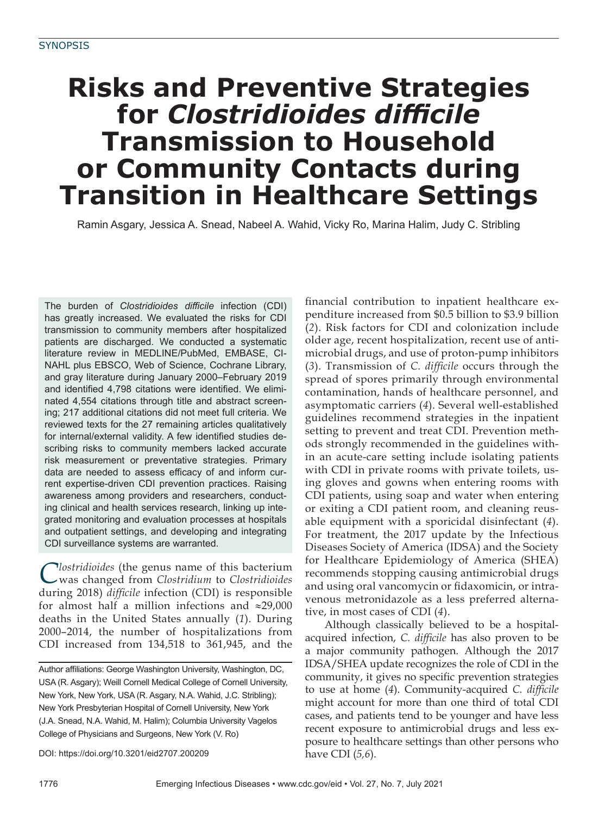# **Risks and Preventive Strategies for** *Clostridioides* difficile **Transmission to Household or Community Contacts during Transition in Healthcare Settings**

Ramin Asgary, Jessica A. Snead, Nabeel A. Wahid, Vicky Ro, Marina Halim, Judy C. Stribling

The burden of *Clostridioides difficile* infection (CDI) has greatly increased. We evaluated the risks for CDI transmission to community members after hospitalized patients are discharged. We conducted a systematic literature review in MEDLINE/PubMed, EMBASE, CI-NAHL plus EBSCO, Web of Science, Cochrane Library, and gray literature during January 2000–February 2019 and identified 4,798 citations were identified. We eliminated 4,554 citations through title and abstract screening; 217 additional citations did not meet full criteria. We reviewed texts for the 27 remaining articles qualitatively for internal/external validity. A few identified studies describing risks to community members lacked accurate risk measurement or preventative strategies. Primary data are needed to assess efficacy of and inform current expertise-driven CDI prevention practices. Raising awareness among providers and researchers, conducting clinical and health services research, linking up integrated monitoring and evaluation processes at hospitals and outpatient settings, and developing and integrating CDI surveillance systems are warranted.

*Clostridioides* (the genus name of this bacterium was changed from *Clostridium* to *Clostridioides*  during 2018) *difficile* infection (CDI) is responsible for almost half a million infections and ≈29,000 deaths in the United States annually (*1*). During 2000–2014, the number of hospitalizations from CDI increased from 134,518 to 361,945, and the

Author affiliations: George Washington University, Washington, DC, USA (R. Asgary); Weill Cornell Medical College of Cornell University, New York, New York, USA (R. Asgary, N.A. Wahid, J.C. Stribling); New York Presbyterian Hospital of Cornell University, New York (J.A. Snead, N.A. Wahid, M. Halim); Columbia University Vagelos College of Physicians and Surgeons, New York (V. Ro)

DOI: https://doi.org/10.3201/eid2707.200209

financial contribution to inpatient healthcare expenditure increased from \$0.5 billion to \$3.9 billion (*2*). Risk factors for CDI and colonization include older age, recent hospitalization, recent use of antimicrobial drugs, and use of proton-pump inhibitors (3). Transmission of *C. difficile* occurs through the spread of spores primarily through environmental contamination, hands of healthcare personnel, and asymptomatic carriers (*4*). Several well-established guidelines recommend strategies in the inpatient setting to prevent and treat CDI. Prevention methods strongly recommended in the guidelines within an acute-care setting include isolating patients with CDI in private rooms with private toilets, using gloves and gowns when entering rooms with CDI patients, using soap and water when entering or exiting a CDI patient room, and cleaning reusable equipment with a sporicidal disinfectant (*4*). For treatment, the 2017 update by the Infectious Diseases Society of America (IDSA) and the Society for Healthcare Epidemiology of America (SHEA) recommends stopping causing antimicrobial drugs and using oral vancomycin or fidaxomicin, or intravenous metronidazole as a less preferred alternative, in most cases of CDI (*4*).

Although classically believed to be a hospitalacquired infection, *C. difficile* has also proven to be a major community pathogen. Although the 2017 IDSA/SHEA update recognizes the role of CDI in the community, it gives no specific prevention strategies to use at home (4). Community-acquired *C. difficile* might account for more than one third of total CDI cases, and patients tend to be younger and have less recent exposure to antimicrobial drugs and less exposure to healthcare settings than other persons who have CDI (*5,6*).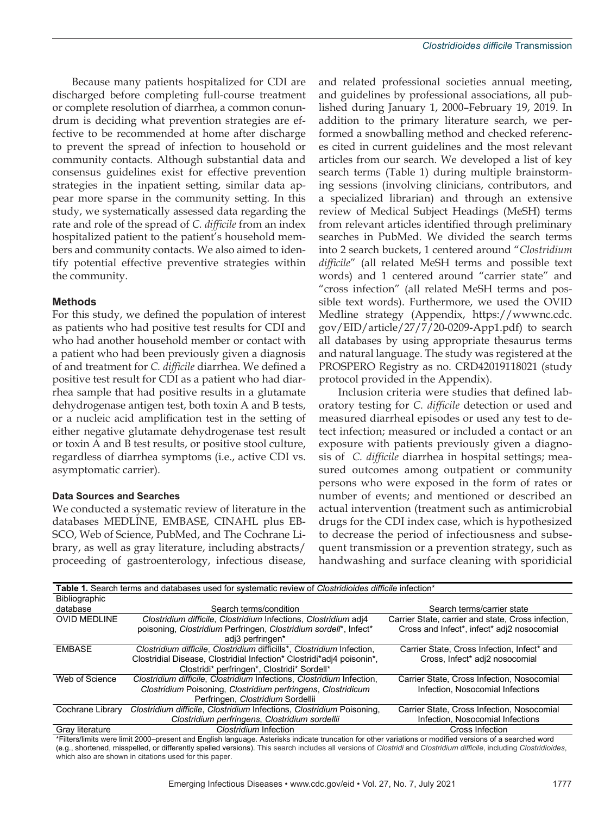Because many patients hospitalized for CDI are discharged before completing full-course treatment or complete resolution of diarrhea, a common conundrum is deciding what prevention strategies are effective to be recommended at home after discharge to prevent the spread of infection to household or community contacts. Although substantial data and consensus guidelines exist for effective prevention strategies in the inpatient setting, similar data appear more sparse in the community setting. In this study, we systematically assessed data regarding the rate and role of the spread of *C. difficile* from an index hospitalized patient to the patient's household members and community contacts. We also aimed to identify potential effective preventive strategies within the community.

### **Methods**

For this study, we defined the population of interest as patients who had positive test results for CDI and who had another household member or contact with a patient who had been previously given a diagnosis of and treatment for *C. difficile* diarrhea. We defined a positive test result for CDI as a patient who had diarrhea sample that had positive results in a glutamate dehydrogenase antigen test, both toxin A and B tests, or a nucleic acid amplification test in the setting of either negative glutamate dehydrogenase test result or toxin A and B test results, or positive stool culture, regardless of diarrhea symptoms (i.e., active CDI vs. asymptomatic carrier).

#### **Data Sources and Searches**

We conducted a systematic review of literature in the databases MEDLINE, EMBASE, CINAHL plus EB-SCO, Web of Science, PubMed, and The Cochrane Library, as well as gray literature, including abstracts/ proceeding of gastroenterology, infectious disease,

and related professional societies annual meeting, and guidelines by professional associations, all published during January 1, 2000–February 19, 2019. In addition to the primary literature search, we performed a snowballing method and checked references cited in current guidelines and the most relevant articles from our search. We developed a list of key search terms (Table 1) during multiple brainstorming sessions (involving clinicians, contributors, and a specialized librarian) and through an extensive review of Medical Subject Headings (MeSH) terms from relevant articles identified through preliminary searches in PubMed. We divided the search terms into 2 search buckets, 1 centered around "*Clostridium difficile*" (all related MeSH terms and possible text words) and 1 centered around "carrier state" and "cross infection" (all related MeSH terms and possible text words). Furthermore, we used the OVID Medline strategy (Appendix, https://wwwnc.cdc. gov/EID/article/27/7/20-0209-App1.pdf) to search all databases by using appropriate thesaurus terms and natural language. The study was registered at the PROSPERO Registry as no. CRD42019118021 (study protocol provided in the Appendix).

Inclusion criteria were studies that defined laboratory testing for *C. difficile* detection or used and measured diarrheal episodes or used any test to detect infection; measured or included a contact or an exposure with patients previously given a diagnosis of *C. difficile* diarrhea in hospital settings; measured outcomes among outpatient or community persons who were exposed in the form of rates or number of events; and mentioned or described an actual intervention (treatment such as antimicrobial drugs for the CDI index case, which is hypothesized to decrease the period of infectiousness and subsequent transmission or a prevention strategy, such as handwashing and surface cleaning with sporidicial

| Table 1. Search terms and databases used for systematic review of Clostridioides difficile infection* |                                                                        |                                                    |  |  |  |  |  |
|-------------------------------------------------------------------------------------------------------|------------------------------------------------------------------------|----------------------------------------------------|--|--|--|--|--|
| Bibliographic                                                                                         |                                                                        |                                                    |  |  |  |  |  |
| database                                                                                              | Search terms/condition                                                 | Search terms/carrier state                         |  |  |  |  |  |
| <b>OVID MEDLINE</b>                                                                                   | Clostridium difficile, Clostridium Infections, Clostridium adj4        | Carrier State, carrier and state, Cross infection, |  |  |  |  |  |
|                                                                                                       | poisoning, Clostridium Perfringen, Clostridium sordell*, Infect*       | Cross and Infect*, infect* adj2 nosocomial         |  |  |  |  |  |
|                                                                                                       | adj3 perfringen*                                                       |                                                    |  |  |  |  |  |
| <b>FMBASF</b>                                                                                         | Clostridium difficile, Clostridium difficills*, Clostridium Infection, | Carrier State, Cross Infection, Infect* and        |  |  |  |  |  |
|                                                                                                       | Clostridial Disease, Clostridial Infection* Clostridi*adj4 poisonin*,  | Cross, Infect* adj2 nosocomial                     |  |  |  |  |  |
|                                                                                                       | Clostridi* perfringen*, Clostridi* Sordell*                            |                                                    |  |  |  |  |  |
| Web of Science                                                                                        | Clostridium difficile, Clostridium Infections, Clostridium Infection,  | Carrier State, Cross Infection, Nosocomial         |  |  |  |  |  |
|                                                                                                       | Clostridium Poisoning, Clostridium perfringens, Clostridicum           | Infection, Nosocomial Infections                   |  |  |  |  |  |
|                                                                                                       | Perfringen, Clostridium Sordellii                                      |                                                    |  |  |  |  |  |
| Cochrane Library                                                                                      | Clostridium difficile, Clostridium Infections, Clostridium Poisoning,  | Carrier State, Cross Infection, Nosocomial         |  |  |  |  |  |
|                                                                                                       | Clostridium perfringens, Clostridium sordellii                         | Infection, Nosocomial Infections                   |  |  |  |  |  |
| Grav literature                                                                                       | Clostridium Infection                                                  | Cross Infection                                    |  |  |  |  |  |

\*Filters/limits were limit 2000–present and English language. Asterisks indicate truncation for other variations or modified versions of a searched word (e.g., shortened, misspelled, or differently spelled versions). This search includes all versions of *Clostridi* and *Clostridium difficile*, including *Clostridioides*, which also are shown in citations used for this paper.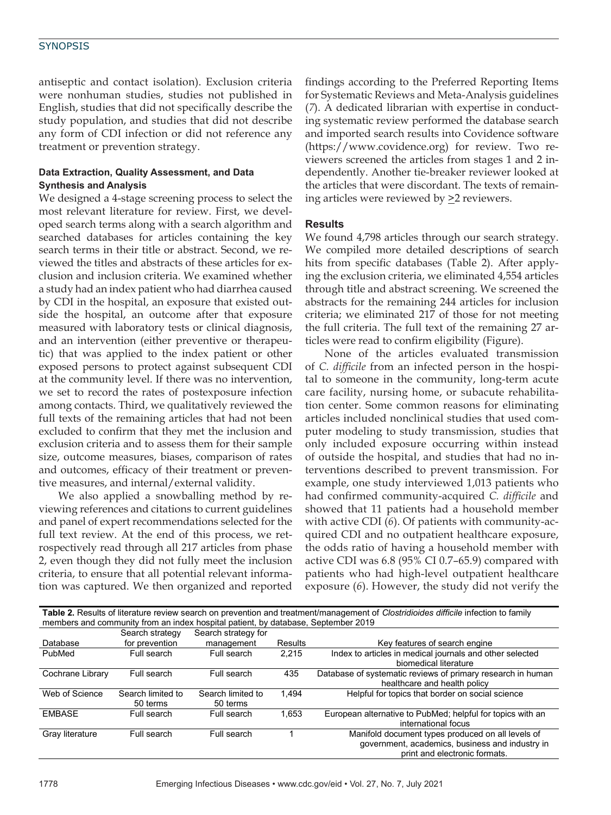# **SYNOPSIS**

antiseptic and contact isolation). Exclusion criteria were nonhuman studies, studies not published in English, studies that did not specifically describe the study population, and studies that did not describe any form of CDI infection or did not reference any treatment or prevention strategy.

## **Data Extraction, Quality Assessment, and Data Synthesis and Analysis**

We designed a 4-stage screening process to select the most relevant literature for review. First, we developed search terms along with a search algorithm and searched databases for articles containing the key search terms in their title or abstract. Second, we reviewed the titles and abstracts of these articles for exclusion and inclusion criteria. We examined whether a study had an index patient who had diarrhea caused by CDI in the hospital, an exposure that existed outside the hospital, an outcome after that exposure measured with laboratory tests or clinical diagnosis, and an intervention (either preventive or therapeutic) that was applied to the index patient or other exposed persons to protect against subsequent CDI at the community level. If there was no intervention, we set to record the rates of postexposure infection among contacts. Third, we qualitatively reviewed the full texts of the remaining articles that had not been excluded to confirm that they met the inclusion and exclusion criteria and to assess them for their sample size, outcome measures, biases, comparison of rates and outcomes, efficacy of their treatment or preventive measures, and internal/external validity.

We also applied a snowballing method by reviewing references and citations to current guidelines and panel of expert recommendations selected for the full text review. At the end of this process, we retrospectively read through all 217 articles from phase 2, even though they did not fully meet the inclusion criteria, to ensure that all potential relevant information was captured. We then organized and reported findings according to the Preferred Reporting Items for Systematic Reviews and Meta-Analysis guidelines (*7*). A dedicated librarian with expertise in conducting systematic review performed the database search and imported search results into Covidence software (https://www.covidence.org) for review. Two reviewers screened the articles from stages 1 and 2 independently. Another tie-breaker reviewer looked at the articles that were discordant. The texts of remaining articles were reviewed by  $\geq$  2 reviewers.

#### **Results**

We found 4,798 articles through our search strategy. We compiled more detailed descriptions of search hits from specific databases (Table 2). After applying the exclusion criteria, we eliminated 4,554 articles through title and abstract screening. We screened the abstracts for the remaining 244 articles for inclusion criteria; we eliminated 217 of those for not meeting the full criteria. The full text of the remaining 27 articles were read to confirm eligibility (Figure).

None of the articles evaluated transmission of *C. difficile* from an infected person in the hospital to someone in the community, long-term acute care facility, nursing home, or subacute rehabilitation center. Some common reasons for eliminating articles included nonclinical studies that used computer modeling to study transmission, studies that only included exposure occurring within instead of outside the hospital, and studies that had no interventions described to prevent transmission. For example, one study interviewed 1,013 patients who had confirmed community-acquired *C. difficile* and showed that 11 patients had a household member with active CDI (*6*). Of patients with community-acquired CDI and no outpatient healthcare exposure, the odds ratio of having a household member with active CDI was 6.8 (95% CI 0.7–65.9) compared with patients who had high-level outpatient healthcare exposure (*6*). However, the study did not verify the

| Table 2. Results of literature review search on prevention and treatment/management of Clostridioides difficile infection to family |                   |                     |         |                                                             |  |  |  |  |  |
|-------------------------------------------------------------------------------------------------------------------------------------|-------------------|---------------------|---------|-------------------------------------------------------------|--|--|--|--|--|
| members and community from an index hospital patient, by database, September 2019                                                   |                   |                     |         |                                                             |  |  |  |  |  |
|                                                                                                                                     | Search strategy   | Search strategy for |         |                                                             |  |  |  |  |  |
| Database                                                                                                                            | for prevention    | management          | Results | Key features of search engine                               |  |  |  |  |  |
| PubMed                                                                                                                              | Full search       | Full search         | 2.215   | Index to articles in medical journals and other selected    |  |  |  |  |  |
|                                                                                                                                     |                   |                     |         | biomedical literature                                       |  |  |  |  |  |
| Cochrane Library                                                                                                                    | Full search       | Full search         | 435     | Database of systematic reviews of primary research in human |  |  |  |  |  |
|                                                                                                                                     |                   |                     |         | healthcare and health policy                                |  |  |  |  |  |
| Web of Science                                                                                                                      | Search limited to | Search limited to   | 1.494   | Helpful for topics that border on social science            |  |  |  |  |  |
|                                                                                                                                     | 50 terms          | 50 terms            |         |                                                             |  |  |  |  |  |
| <b>EMBASE</b>                                                                                                                       | Full search       | Full search         | 1.653   | European alternative to PubMed; helpful for topics with an  |  |  |  |  |  |
|                                                                                                                                     |                   |                     |         | international focus                                         |  |  |  |  |  |
| Gray literature                                                                                                                     | Full search       | Full search         |         | Manifold document types produced on all levels of           |  |  |  |  |  |
|                                                                                                                                     |                   |                     |         | government, academics, business and industry in             |  |  |  |  |  |
|                                                                                                                                     |                   |                     |         | print and electronic formats.                               |  |  |  |  |  |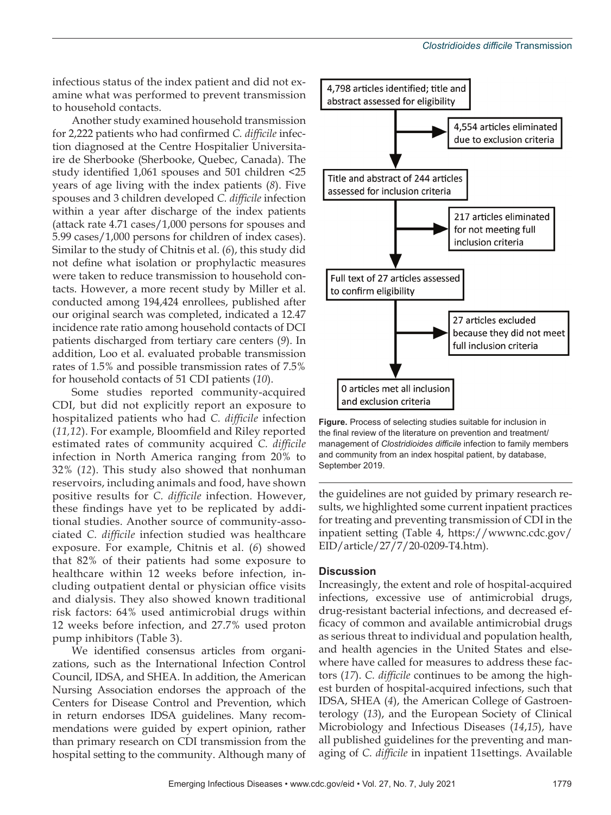infectious status of the index patient and did not examine what was performed to prevent transmission to household contacts.

Another study examined household transmission for 2,222 patients who had confirmed *C. difficile* infection diagnosed at the Centre Hospitalier Universitaire de Sherbooke (Sherbooke, Quebec, Canada). The study identified 1,061 spouses and 501 children <25 years of age living with the index patients (*8*). Five spouses and 3 children developed *C. difficile* infection within a year after discharge of the index patients (attack rate 4.71 cases/1,000 persons for spouses and 5.99 cases/1,000 persons for children of index cases). Similar to the study of Chitnis et al. (*6*), this study did not define what isolation or prophylactic measures were taken to reduce transmission to household contacts. However, a more recent study by Miller et al. conducted among 194,424 enrollees, published after our original search was completed, indicated a 12.47 incidence rate ratio among household contacts of DCI patients discharged from tertiary care centers (*9*). In addition, Loo et al. evaluated probable transmission rates of 1.5% and possible transmission rates of 7.5% for household contacts of 51 CDI patients (*10*).

Some studies reported community-acquired CDI, but did not explicitly report an exposure to hospitalized patients who had *C. difficile* infection (*11,12*). For example, Bloomfield and Riley reported estimated rates of community acquired *C. difficile* infection in North America ranging from 20% to 32% (*12*). This study also showed that nonhuman reservoirs, including animals and food, have shown positive results for *C. difficile* infection. However, these findings have yet to be replicated by additional studies. Another source of community-associated *C. difficile* infection studied was healthcare exposure. For example, Chitnis et al. (*6*) showed that 82% of their patients had some exposure to healthcare within 12 weeks before infection, including outpatient dental or physician office visits and dialysis. They also showed known traditional risk factors: 64% used antimicrobial drugs within 12 weeks before infection, and 27.7% used proton pump inhibitors (Table 3).

We identified consensus articles from organizations, such as the International Infection Control Council, IDSA, and SHEA. In addition, the American Nursing Association endorses the approach of the Centers for Disease Control and Prevention, which in return endorses IDSA guidelines. Many recommendations were guided by expert opinion, rather than primary research on CDI transmission from the hospital setting to the community. Although many of



**Figure.** Process of selecting studies suitable for inclusion in the final review of the literature on prevention and treatment/ management of *Clostridioides difficile* infection to family members and community from an index hospital patient, by database, September 2019.

the guidelines are not guided by primary research results, we highlighted some current inpatient practices for treating and preventing transmission of CDI in the inpatient setting (Table 4, https://wwwnc.cdc.gov/ EID/article/27/7/20-0209-T4.htm).

#### **Discussion**

Increasingly, the extent and role of hospital-acquired infections, excessive use of antimicrobial drugs, drug-resistant bacterial infections, and decreased efficacy of common and available antimicrobial drugs as serious threat to individual and population health, and health agencies in the United States and elsewhere have called for measures to address these factors (*17*). *C. difficile* continues to be among the highest burden of hospital-acquired infections, such that IDSA, SHEA (*4*), the American College of Gastroenterology (*13*), and the European Society of Clinical Microbiology and Infectious Diseases (*14*,*15*), have all published guidelines for the preventing and managing of *C. difficile* in inpatient 11settings. Available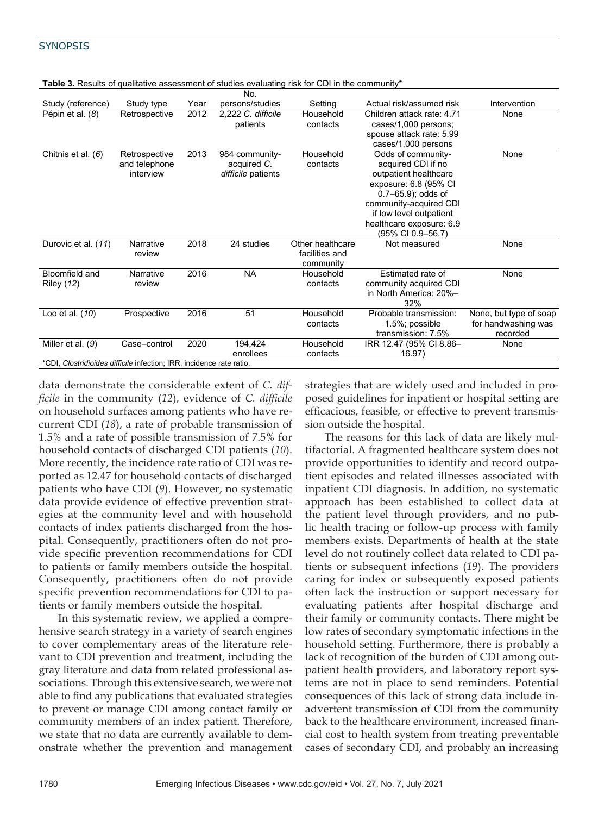|                                                                      |                                             |      | No.                                                 |                                                 |                                                                                                                                                                                                                            |                                                           |  |  |  |
|----------------------------------------------------------------------|---------------------------------------------|------|-----------------------------------------------------|-------------------------------------------------|----------------------------------------------------------------------------------------------------------------------------------------------------------------------------------------------------------------------------|-----------------------------------------------------------|--|--|--|
| Study (reference)                                                    | Study type                                  | Year | persons/studies                                     | Setting                                         | Actual risk/assumed risk                                                                                                                                                                                                   | Intervention                                              |  |  |  |
| Pépin et al. (8)                                                     | Retrospective                               | 2012 | 2,222 C. difficile<br>patients                      | Household<br>contacts                           | Children attack rate: 4.71<br>cases/1,000 persons;<br>spouse attack rate: 5.99<br>cases/1,000 persons                                                                                                                      | None                                                      |  |  |  |
| Chitnis et al. (6)                                                   | Retrospective<br>and telephone<br>interview | 2013 | 984 community-<br>acquired C.<br>difficile patients | Household<br>contacts                           | Odds of community-<br>acquired CDI if no<br>outpatient healthcare<br>exposure: 6.8 (95% CI<br>$0.7 - 65.9$ ; odds of<br>community-acquired CDI<br>if low level outpatient<br>healthcare exposure: 6.9<br>(95% CI 0.9-56.7) | None                                                      |  |  |  |
| Durovic et al. (11)                                                  | Narrative<br>review                         | 2018 | 24 studies                                          | Other healthcare<br>facilities and<br>community | Not measured                                                                                                                                                                                                               | None                                                      |  |  |  |
| Bloomfield and<br><b>Riley (12)</b>                                  | Narrative<br>review                         | 2016 | <b>NA</b>                                           | Household<br>contacts                           | Estimated rate of<br>community acquired CDI<br>in North America: 20%-<br>32%                                                                                                                                               | None                                                      |  |  |  |
| Loo et al. (10)                                                      | Prospective                                 | 2016 | 51                                                  | Household<br>contacts                           | Probable transmission:<br>1.5%; possible<br>transmission: 7.5%                                                                                                                                                             | None, but type of soap<br>for handwashing was<br>recorded |  |  |  |
| Miller et al. (9)                                                    | Case-control                                | 2020 | 194,424<br>enrollees                                | Household<br>contacts                           | IRR 12.47 (95% CI 8.86-<br>16.97)                                                                                                                                                                                          | None                                                      |  |  |  |
| *CDI, Clostridioides difficile infection; IRR, incidence rate ratio. |                                             |      |                                                     |                                                 |                                                                                                                                                                                                                            |                                                           |  |  |  |
|                                                                      |                                             |      |                                                     |                                                 |                                                                                                                                                                                                                            |                                                           |  |  |  |

**Table 3.** Results of qualitative assessment of studies evaluating risk for CDI in the community\*

data demonstrate the considerable extent of *C. difficile* in the community (*12*), evidence of *C. difficile* on household surfaces among patients who have recurrent CDI (*18*), a rate of probable transmission of 1.5% and a rate of possible transmission of 7.5% for household contacts of discharged CDI patients (*10*). More recently, the incidence rate ratio of CDI was reported as 12.47 for household contacts of discharged patients who have CDI (*9*). However, no systematic data provide evidence of effective prevention strategies at the community level and with household contacts of index patients discharged from the hospital. Consequently, practitioners often do not provide specific prevention recommendations for CDI to patients or family members outside the hospital. Consequently, practitioners often do not provide specific prevention recommendations for CDI to patients or family members outside the hospital.

In this systematic review, we applied a comprehensive search strategy in a variety of search engines to cover complementary areas of the literature relevant to CDI prevention and treatment, including the gray literature and data from related professional associations. Through this extensive search, we were not able to find any publications that evaluated strategies to prevent or manage CDI among contact family or community members of an index patient. Therefore, we state that no data are currently available to demonstrate whether the prevention and management strategies that are widely used and included in proposed guidelines for inpatient or hospital setting are efficacious, feasible, or effective to prevent transmission outside the hospital.

The reasons for this lack of data are likely multifactorial. A fragmented healthcare system does not provide opportunities to identify and record outpatient episodes and related illnesses associated with inpatient CDI diagnosis. In addition, no systematic approach has been established to collect data at the patient level through providers, and no public health tracing or follow-up process with family members exists. Departments of health at the state level do not routinely collect data related to CDI patients or subsequent infections (*19*). The providers caring for index or subsequently exposed patients often lack the instruction or support necessary for evaluating patients after hospital discharge and their family or community contacts. There might be low rates of secondary symptomatic infections in the household setting. Furthermore, there is probably a lack of recognition of the burden of CDI among outpatient health providers, and laboratory report systems are not in place to send reminders. Potential consequences of this lack of strong data include inadvertent transmission of CDI from the community back to the healthcare environment, increased financial cost to health system from treating preventable cases of secondary CDI, and probably an increasing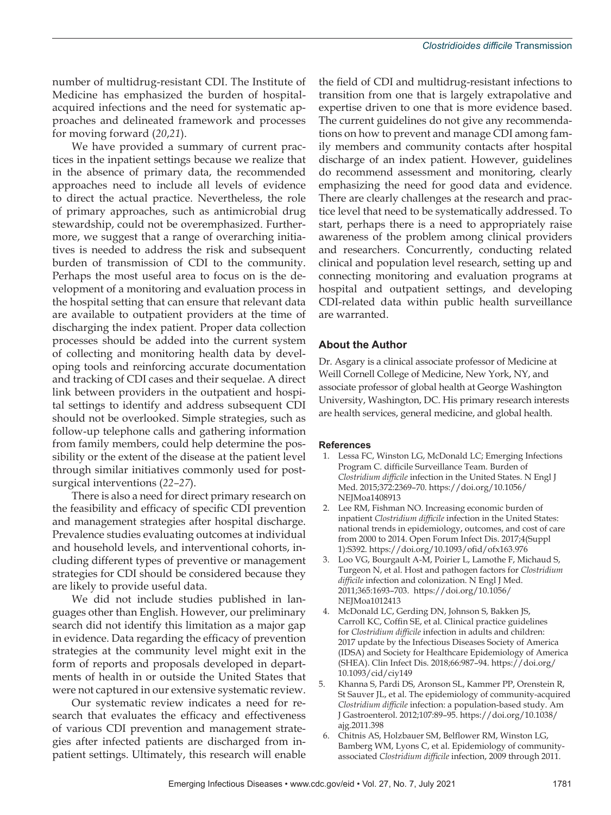number of multidrug-resistant CDI. The Institute of Medicine has emphasized the burden of hospitalacquired infections and the need for systematic approaches and delineated framework and processes for moving forward (*20*,*21*).

We have provided a summary of current practices in the inpatient settings because we realize that in the absence of primary data, the recommended approaches need to include all levels of evidence to direct the actual practice. Nevertheless, the role of primary approaches, such as antimicrobial drug stewardship, could not be overemphasized. Furthermore, we suggest that a range of overarching initiatives is needed to address the risk and subsequent burden of transmission of CDI to the community. Perhaps the most useful area to focus on is the development of a monitoring and evaluation process in the hospital setting that can ensure that relevant data are available to outpatient providers at the time of discharging the index patient. Proper data collection processes should be added into the current system of collecting and monitoring health data by developing tools and reinforcing accurate documentation and tracking of CDI cases and their sequelae. A direct link between providers in the outpatient and hospital settings to identify and address subsequent CDI should not be overlooked. Simple strategies, such as follow-up telephone calls and gathering information from family members, could help determine the possibility or the extent of the disease at the patient level through similar initiatives commonly used for postsurgical interventions (*22–27*).

There is also a need for direct primary research on the feasibility and efficacy of specific CDI prevention and management strategies after hospital discharge. Prevalence studies evaluating outcomes at individual and household levels, and interventional cohorts, including different types of preventive or management strategies for CDI should be considered because they are likely to provide useful data.

We did not include studies published in languages other than English. However, our preliminary search did not identify this limitation as a major gap in evidence. Data regarding the efficacy of prevention strategies at the community level might exit in the form of reports and proposals developed in departments of health in or outside the United States that were not captured in our extensive systematic review.

Our systematic review indicates a need for research that evaluates the efficacy and effectiveness of various CDI prevention and management strategies after infected patients are discharged from inpatient settings. Ultimately, this research will enable

the field of CDI and multidrug-resistant infections to transition from one that is largely extrapolative and expertise driven to one that is more evidence based. The current guidelines do not give any recommendations on how to prevent and manage CDI among family members and community contacts after hospital discharge of an index patient. However, guidelines do recommend assessment and monitoring, clearly emphasizing the need for good data and evidence. There are clearly challenges at the research and practice level that need to be systematically addressed. To start, perhaps there is a need to appropriately raise awareness of the problem among clinical providers and researchers. Concurrently, conducting related clinical and population level research, setting up and connecting monitoring and evaluation programs at hospital and outpatient settings, and developing CDI-related data within public health surveillance are warranted.

# **About the Author**

Dr. Asgary is a clinical associate professor of Medicine at Weill Cornell College of Medicine, New York, NY, and associate professor of global health at George Washington University, Washington, DC. His primary research interests are health services, general medicine, and global health.

#### **References**

- 1. Lessa FC, Winston LG, McDonald LC; Emerging Infections Program C. difficile Surveillance Team. Burden of *Clostridium difficile* infection in the United States. N Engl J Med. 2015;372:2369–70. https://doi.org/10.1056/ NEIMoa1408913
- 2. Lee RM, Fishman NO. Increasing economic burden of inpatient *Clostridium difficile* infection in the United States: national trends in epidemiology, outcomes, and cost of care from 2000 to 2014. Open Forum Infect Dis. 2017;4(Suppl 1):S392. https://doi.org/10.1093/ofid/ofx163.976
- 3. Loo VG, Bourgault A-M, Poirier L, Lamothe F, Michaud S, Turgeon N, et al. Host and pathogen factors for *Clostridium difficile* infection and colonization. N Engl J Med. 2011;365:1693–703. https://doi.org/10.1056/ NEJMoa1012413
- 4. McDonald LC, Gerding DN, Johnson S, Bakken JS, Carroll KC, Coffin SE, et al. Clinical practice guidelines for *Clostridium difficile* infection in adults and children: 2017 update by the Infectious Diseases Society of America (IDSA) and Society for Healthcare Epidemiology of America (SHEA). Clin Infect Dis. 2018;66:987–94. https://doi.org/ 10.1093/cid/ciy149
- 5. Khanna S, Pardi DS, Aronson SL, Kammer PP, Orenstein R, St Sauver JL, et al. The epidemiology of community-acquired *Clostridium difficile* infection: a population-based study. Am J Gastroenterol. 2012;107:89–95. https://doi.org/10.1038/ ajg.2011.398
- 6. Chitnis AS, Holzbauer SM, Belflower RM, Winston LG, Bamberg WM, Lyons C, et al. Epidemiology of communityassociated *Clostridium difficile* infection, 2009 through 2011.